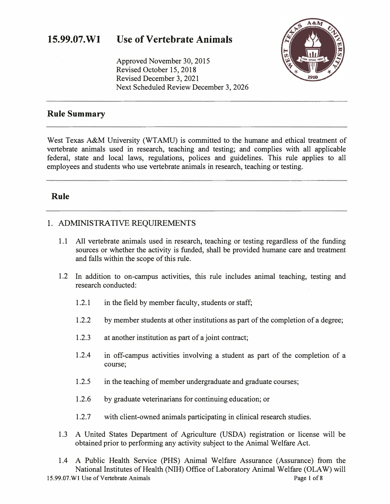Approved November 30, 2015 Revised October 15, 2018 Revised December 3, 2021 Next Scheduled Review December 3, 2026



### **Rule Summary**

West Texas A&M University (WTAMU) is committed to the humane and ethical treatment of vertebrate animals used in research, teaching and testing; and complies with all applicable federal, state and local laws, regulations, polices and guidelines. This rule applies to all employees and students who use vertebrate animals in research, teaching or testing.

### **Rule**

### 1. ADMINISTRATIVE REQUIREMENTS

- 1.1 All vertebrate animals used in research, teaching or testing regardless of the funding sources or whether the activity is funded, shall be provided humane care and treatment and falls within the scope of this rule.
- 1.2 In addition to on-campus activities, this rule includes animal teaching, testing and research conducted:
	- 1.2.1 in the field by member faculty, students or staff;
	- 1.2.2 by member students at other institutions as part of the completion of a degree;
	- 1.2.3 at another institution as part of a joint contract;
	- 1.2.4 in off-campus activities involving a student as part of the completion of a course;
	- 1.2.5 in the teaching of member undergraduate and graduate courses;
	- 1.2.6 by graduate veterinarians for continuing education; or
	- 1.2.7 with client-owned animals participating in clinical research studies.
- 1.3 A United States Department of Agriculture (USDA) registration or license will be obtained prior to performing any activity subject to the Animal Welfare Act.
- 1.4 A Public Health Service (PHS) Animal Welfare Assurance (Assurance) from the National Institutes of Health (NIH) Office of Laboratory Animal Welfare (OLA W) will 15.99.07. W1 Use of Vertebrate Animals **Page 1** of 8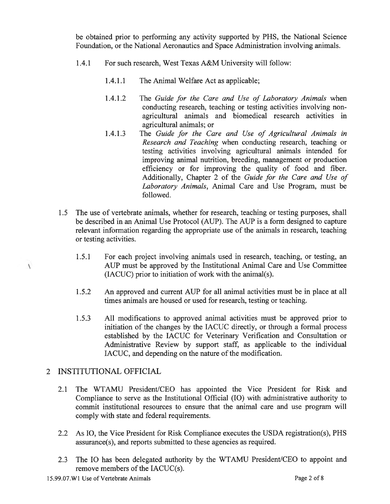be obtained prior to performing any activity supported by PHS, the National Science Foundation, or the National Aeronautics and Space Administration involving animals.

- $1.4.1$ For such research, West Texas A&M University will follow:
	- $1.4.1.1$ The Animal Welfare Act as applicable;
	- $1.4.1.2$ The Guide for the Care and Use of Laboratory Animals when conducting research, teaching or testing activities involving nonagricultural animals and biomedical research activities in agricultural animals; or
	- The Guide for the Care and Use of Agricultural Animals in  $1.4.1.3$ Research and Teaching when conducting research, teaching or testing activities involving agricultural animals intended for improving animal nutrition, breeding, management or production efficiency or for improving the quality of food and fiber. Additionally, Chapter 2 of the Guide for the Care and Use of Laboratory Animals, Animal Care and Use Program, must be followed.
- 1.5 The use of vertebrate animals, whether for research, teaching or testing purposes, shall be described in an Animal Use Protocol (AUP). The AUP is a form designed to capture relevant information regarding the appropriate use of the animals in research, teaching or testing activities.
	- For each project involving animals used in research, teaching, or testing, an  $1.5.1$ AUP must be approved by the Institutional Animal Care and Use Committee (IACUC) prior to initiation of work with the animal(s).
	- $1.5.2$ An approved and current AUP for all animal activities must be in place at all times animals are housed or used for research, testing or teaching.
	- All modifications to approved animal activities must be approved prior to  $1.5.3$ initiation of the changes by the IACUC directly, or through a formal process established by the IACUC for Veterinary Verification and Consultation or Administrative Review by support staff, as applicable to the individual IACUC, and depending on the nature of the modification.

### 2 INSTITUTIONAL OFFICIAL

 $\overline{\phantom{0}}$ 

- 2.1 The WTAMU President/CEO has appointed the Vice President for Risk and Compliance to serve as the Institutional Official (IO) with administrative authority to commit institutional resources to ensure that the animal care and use program will comply with state and federal requirements.
- 2.2 As IO, the Vice President for Risk Compliance executes the USDA registration(s), PHS assurance(s), and reports submitted to these agencies as required.
- The IO has been delegated authority by the WTAMU President/CEO to appoint and  $2.3$ remove members of the IACUC(s).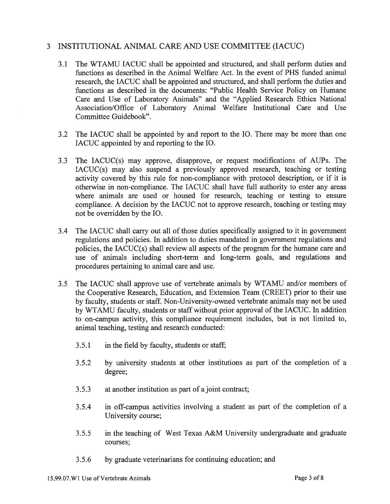#### INSTITUTIONAL ANIMAL CARE AND USE COMMITTEE (IACUC)  $\mathbf{3}$

- 3.1 The WTAMU IACUC shall be appointed and structured, and shall perform duties and functions as described in the Animal Welfare Act. In the event of PHS funded animal research, the IACUC shall be appointed and structured, and shall perform the duties and functions as described in the documents: "Public Health Service Policy on Humane Care and Use of Laboratory Animals" and the "Applied Research Ethics National Association/Office of Laboratory Animal Welfare Institutional Care and Use Committee Guidebook".
- 3.2 The IACUC shall be appointed by and report to the IO. There may be more than one IACUC appointed by and reporting to the IO.
- The IACUC(s) may approve, disapprove, or request modifications of AUPs. The  $3.3$ IACUC(s) may also suspend a previously approved research, teaching or testing activity covered by this rule for non-compliance with protocol description, or if it is otherwise in non-compliance. The IACUC shall have full authority to enter any areas where animals are used or housed for research, teaching or testing to ensure compliance. A decision by the IACUC not to approve research, teaching or testing may not be overridden by the IO.
- $3.4$ The IACUC shall carry out all of those duties specifically assigned to it in government regulations and policies. In addition to duties mandated in government regulations and policies, the IACUC(s) shall review all aspects of the program for the humane care and use of animals including short-term and long-term goals, and regulations and procedures pertaining to animal care and use.
- The IACUC shall approve use of vertebrate animals by WTAMU and/or members of  $3.5$ the Cooperative Research, Education, and Extension Team (CREET) prior to their use by faculty, students or staff. Non-University-owned vertebrate animals may not be used by WTAMU faculty, students or staff without prior approval of the IACUC. In addition to on-campus activity, this compliance requirement includes, but is not limited to, animal teaching, testing and research conducted:
	- $3.5.1$ in the field by faculty, students or staff;
	- by university students at other institutions as part of the completion of a  $3.5.2$ degree;
	- $3.5.3$ at another institution as part of a joint contract;
	- $3.5.4$ in off-campus activities involving a student as part of the completion of a University course;
	- in the teaching of West Texas A&M University undergraduate and graduate  $3.5.5$ courses:
	- by graduate veterinarians for continuing education; and  $3.5.6$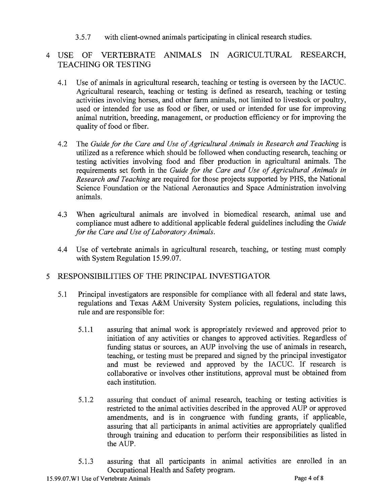$3.5.7$ with client-owned animals participating in clinical research studies.

### USE OF VERTEBRATE ANIMALS IN AGRICULTURAL RESEARCH,  $\overline{4}$ **TEACHING OR TESTING**

- Use of animals in agricultural research, teaching or testing is overseen by the IACUC.  $4.1$ Agricultural research, teaching or testing is defined as research, teaching or testing activities involving horses, and other farm animals, not limited to livestock or poultry, used or intended for use as food or fiber, or used or intended for use for improving animal nutrition, breeding, management, or production efficiency or for improving the quality of food or fiber.
- $4.2$ The Guide for the Care and Use of Agricultural Animals in Research and Teaching is utilized as a reference which should be followed when conducting research, teaching or testing activities involving food and fiber production in agricultural animals. The requirements set forth in the Guide for the Care and Use of Agricultural Animals in Research and Teaching are required for those projects supported by PHS, the National Science Foundation or the National Aeronautics and Space Administration involving animals.
- When agricultural animals are involved in biomedical research, animal use and 4.3 compliance must adhere to additional applicable federal guidelines including the Guide for the Care and Use of Laboratory Animals.
- Use of vertebrate animals in agricultural research, teaching, or testing must comply 4.4 with System Regulation 15.99.07.

#### RESPONSIBILITIES OF THE PRINCIPAL INVESTIGATOR  $\mathcal{F}$

- $5.1$ Principal investigators are responsible for compliance with all federal and state laws, regulations and Texas A&M University System policies, regulations, including this rule and are responsible for:
	- $5.1.1$ assuring that animal work is appropriately reviewed and approved prior to initiation of any activities or changes to approved activities. Regardless of funding status or sources, an AUP involving the use of animals in research, teaching, or testing must be prepared and signed by the principal investigator and must be reviewed and approved by the IACUC. If research is collaborative or involves other institutions, approval must be obtained from each institution.
	- assuring that conduct of animal research, teaching or testing activities is 5.1.2 restricted to the animal activities described in the approved AUP or approved amendments, and is in congruence with funding grants, if applicable, assuring that all participants in animal activities are appropriately qualified through training and education to perform their responsibilities as listed in the AUP.
	- assuring that all participants in animal activities are enrolled in an 5.1.3 Occupational Health and Safety program.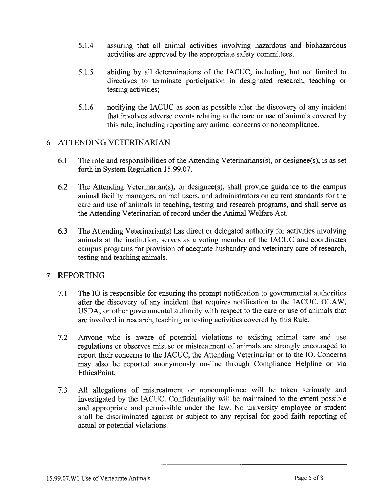- $5.1.4$ assuring that all animal activities involving hazardous and biohazardous activities are approved by the appropriate safety committees.
- $5.1.5$ abiding by all determinations of the IACUC, including, but not limited to directives to terminate participation in designated research, teaching or testing activities;
- $5.1.6$ notifying the IACUC as soon as possible after the discovery of any incident that involves adverse events relating to the care or use of animals covered by this rule, including reporting any animal concerns or noncompliance.

### 6 ATTENDING VETERINARIAN

- 6.1 The role and responsibilities of the Attending Veterinarians(s), or designee(s), is as set forth in System Regulation 15.99.07.
- 6.2 The Attending Veterinarian(s), or designee(s), shall provide guidance to the campus animal facility managers, animal users, and administrators on current standards for the care and use of animals in teaching, testing and research programs, and shall serve as the Attending Veterinarian of record under the Animal Welfare Act.
- The Attending Veterinarian(s) has direct or delegated authority for activities involving 6.3 animals at the institution, serves as a voting member of the IACUC and coordinates campus programs for provision of adequate husbandry and veterinary care of research, testing and teaching animals.

#### **REPORTING**  $\tau$

- $7.1$ The IO is responsible for ensuring the prompt notification to governmental authorities after the discovery of any incident that requires notification to the IACUC, OLAW, USDA, or other governmental authority with respect to the care or use of animals that are involved in research, teaching or testing activities covered by this Rule.
- $7.2$ Anyone who is aware of potential violations to existing animal care and use regulations or observes misuse or mistreatment of animals are strongly encouraged to report their concerns to the IACUC, the Attending Veterinarian or to the IO. Concerns may also be reported anonymously on-line through Compliance Helpline or via EthicsPoint.
- All allegations of mistreatment or noncompliance will be taken seriously and  $7.3$ investigated by the IACUC. Confidentiality will be maintained to the extent possible and appropriate and permissible under the law. No university employee or student shall be discriminated against or subject to any reprisal for good faith reporting of actual or potential violations.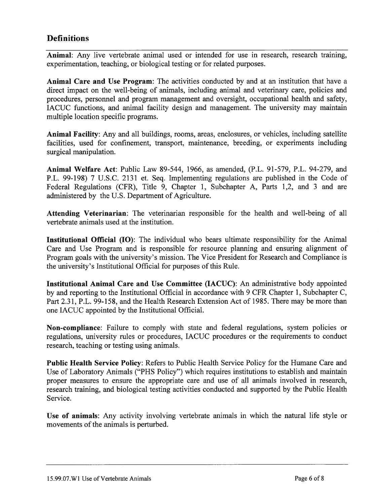### **Definitions**

Animal: Any live vertebrate animal used or intended for use in research, research training, experimentation, teaching, or biological testing or for related purposes.

Animal Care and Use Program: The activities conducted by and at an institution that have a direct impact on the well-being of animals, including animal and veterinary care, policies and procedures, personnel and program management and oversight, occupational health and safety, IACUC functions, and animal facility design and management. The university may maintain multiple location specific programs.

Animal Facility: Any and all buildings, rooms, areas, enclosures, or vehicles, including satellite facilities, used for confinement, transport, maintenance, breeding, or experiments including surgical manipulation.

Animal Welfare Act: Public Law 89-544, 1966, as amended, (P.L. 91-579, P.L. 94-279, and P.L. 99-198) 7 U.S.C. 2131 et. Seq. Implementing regulations are published in the Code of Federal Regulations (CFR), Title 9, Chapter 1, Subchapter A, Parts 1,2, and 3 and are administered by the U.S. Department of Agriculture.

**Attending Veterinarian:** The veterinarian responsible for the health and well-being of all vertebrate animals used at the institution.

**Institutional Official (IO)**: The individual who bears ultimate responsibility for the Animal Care and Use Program and is responsible for resource planning and ensuring alignment of Program goals with the university's mission. The Vice President for Research and Compliance is the university's Institutional Official for purposes of this Rule.

Institutional Animal Care and Use Committee (IACUC): An administrative body appointed by and reporting to the Institutional Official in accordance with 9 CFR Chapter 1, Subchapter C, Part 2.31, P.L. 99-158, and the Health Research Extension Act of 1985. There may be more than one IACUC appointed by the Institutional Official.

**Non-compliance:** Failure to comply with state and federal regulations, system policies or regulations, university rules or procedures, IACUC procedures or the requirements to conduct research, teaching or testing using animals.

**Public Health Service Policy:** Refers to Public Health Service Policy for the Humane Care and Use of Laboratory Animals ("PHS Policy") which requires institutions to establish and maintain proper measures to ensure the appropriate care and use of all animals involved in research, research training, and biological testing activities conducted and supported by the Public Health Service.

Use of animals: Any activity involving vertebrate animals in which the natural life style or movements of the animals is perturbed.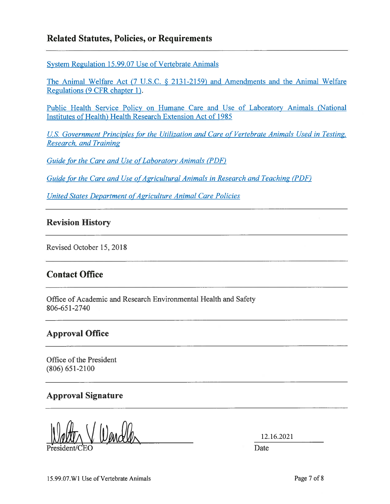### **Related Statutes, Policies, or Requirements**

System Regulation 15.99.07 Use of Vertebrate Animals

The Animal Welfare Act (7 U.S.C. § 2131-2159) and Amendments and the Animal Welfare Regulations (9 CFR chapter 1).

Public Health Service Policy on Humane Care and Use of Laboratory Animals (National Institutes of Health) Health Research Extension Act of 1985

U.S. Government Principles for the Utilization and Care of Vertebrate Animals Used in Testing, **Research, and Training** 

Guide for the Care and Use of Laboratory Animals (PDF)

Guide for the Care and Use of Agricultural Animals in Research and Teaching (PDF)

United States Department of Agriculture Animal Care Policies

### **Revision History**

Revised October 15, 2018

### **Contact Office**

Office of Academic and Research Environmental Health and Safety 806-651-2740

## **Approval Office**

Office of the President  $(806) 651 - 2100$ 

### **Approval Signature**

12.16.2021

Date